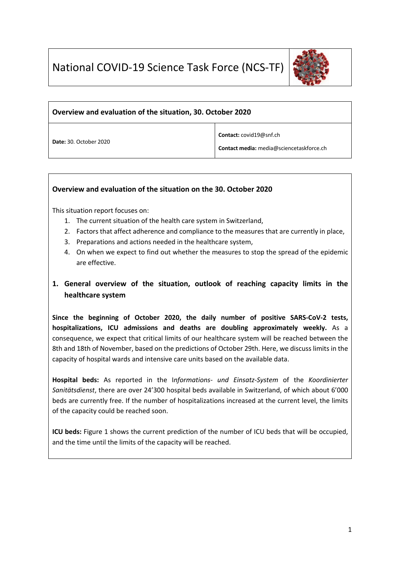

#### **Overview and evaluation of the situation, 30. October 2020**

**Date:** 30. October 2020

**Contact:** covid19@snf.ch

**Contact media:** media@sciencetaskforce.ch

#### **Overview and evaluation of the situation on the 30. October 2020**

This situation report focuses on:

- 1. The current situation of the health care system in Switzerland,
- 2. Factors that affect adherence and compliance to the measures that are currently in place,
- 3. Preparations and actions needed in the healthcare system,
- 4. On when we expect to find out whether the measures to stop the spread of the epidemic are effective.

# **1. General overview of the situation, outlook of reaching capacity limits in the healthcare system**

**Since the beginning of October 2020, the daily number of positive SARS-CoV-2 tests, hospitalizations, ICU admissions and deaths are doubling approximately weekly.** As a consequence, we expect that critical limits of our healthcare system will be reached between the 8th and 18th of November, based on the predictions of October 29th. Here, we discuss limits in the capacity of hospital wards and intensive care units based on the available data.

**Hospital beds:** As reported in the I*nformations- und Einsatz-System* of the *Koordinierter Sanitätsdienst*, there are over 24'300 hospital beds available in Switzerland, of which about 6'000 beds are currently free. If the number of hospitalizations increased at the current level, the limits of the capacity could be reached soon.

**ICU beds:** Figure 1 shows the current prediction of the number of ICU beds that will be occupied, and the time until the limits of the capacity will be reached.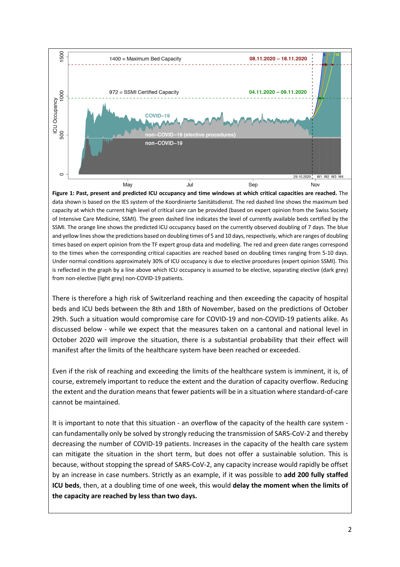

**Figure 1: Past, present and predicted ICU occupancy and time windows at which critical capacities are reached.** The data shown is based on the IES system of the Koordinierte Sanitätsdienst. The red dashed line shows the maximum bed capacity at which the current high level of critical care can be provided (based on expert opinion from the Swiss Society of Intensive Care Medicine, SSMI). The green dashed line indicates the level of currently available beds certified by the SSMI. The orange line shows the predicted ICU occupancy based on the currently observed doubling of 7 days. The blue and yellow lines show the predictions based on doubling times of 5 and 10 days, respectively, which are ranges of doubling times based on expert opinion from the TF expert group data and modelling. The red and green date ranges correspond to the times when the corresponding critical capacities are reached based on doubling times ranging from 5-10 days. Under normal conditions approximately 30% of ICU occupancy is due to elective procedures (expert opinion SSMI). This is reflected in the graph by a line above which ICU occupancy is assumed to be elective, separating elective (dark grey) from non-elective (light grey) non-COVID-19 patients.

There is therefore a high risk of Switzerland reaching and then exceeding the capacity of hospital beds and ICU beds between the 8th and 18th of November, based on the predictions of October 29th. Such a situation would compromise care for COVID-19 and non-COVID-19 patients alike. As discussed below - while we expect that the measures taken on a cantonal and national level in October 2020 will improve the situation, there is a substantial probability that their effect will manifest after the limits of the healthcare system have been reached or exceeded.

Even if the risk of reaching and exceeding the limits of the healthcare system is imminent, it is, of course, extremely important to reduce the extent and the duration of capacity overflow. Reducing the extent and the duration means that fewer patients will be in a situation where standard-of-care cannot be maintained.

It is important to note that this situation - an overflow of the capacity of the health care system can fundamentally only be solved by strongly reducing the transmission of SARS-CoV-2 and thereby decreasing the number of COVID-19 patients. Increases in the capacity of the health care system can mitigate the situation in the short term, but does not offer a sustainable solution. This is because, without stopping the spread of SARS-CoV-2, any capacity increase would rapidly be offset by an increase in case numbers. Strictly as an example, if it was possible to **add 200 fully staffed ICU beds**, then, at a doubling time of one week, this would **delay the moment when the limits of the capacity are reached by less than two days.**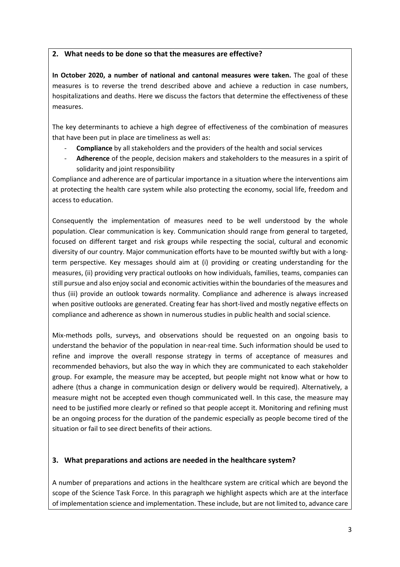#### **2. What needs to be done so that the measures are effective?**

**In October 2020, a number of national and cantonal measures were taken.** The goal of these measures is to reverse the trend described above and achieve a reduction in case numbers, hospitalizations and deaths. Here we discuss the factors that determine the effectiveness of these measures.

The key determinants to achieve a high degree of effectiveness of the combination of measures that have been put in place are timeliness as well as:

- **Compliance** by all stakeholders and the providers of the health and social services
- **Adherence** of the people, decision makers and stakeholders to the measures in a spirit of solidarity and joint responsibility

Compliance and adherence are of particular importance in a situation where the interventions aim at protecting the health care system while also protecting the economy, social life, freedom and access to education.

Consequently the implementation of measures need to be well understood by the whole population. Clear communication is key. Communication should range from general to targeted, focused on different target and risk groups while respecting the social, cultural and economic diversity of our country. Major communication efforts have to be mounted swiftly but with a longterm perspective. Key messages should aim at (i) providing or creating understanding for the measures, (ii) providing very practical outlooks on how individuals, families, teams, companies can still pursue and also enjoy social and economic activities within the boundaries of the measures and thus (iii) provide an outlook towards normality. Compliance and adherence is always increased when positive outlooks are generated. Creating fear has short-lived and mostly negative effects on compliance and adherence as shown in numerous studies in public health and social science.

Mix-methods polls, surveys, and observations should be requested on an ongoing basis to understand the behavior of the population in near-real time. Such information should be used to refine and improve the overall response strategy in terms of acceptance of measures and recommended behaviors, but also the way in which they are communicated to each stakeholder group. For example, the measure may be accepted, but people might not know what or how to adhere (thus a change in communication design or delivery would be required). Alternatively, a measure might not be accepted even though communicated well. In this case, the measure may need to be justified more clearly or refined so that people accept it. Monitoring and refining must be an ongoing process for the duration of the pandemic especially as people become tired of the situation or fail to see direct benefits of their actions.

### **3. What preparations and actions are needed in the healthcare system?**

A number of preparations and actions in the healthcare system are critical which are beyond the scope of the Science Task Force. In this paragraph we highlight aspects which are at the interface of implementation science and implementation. These include, but are not limited to, advance care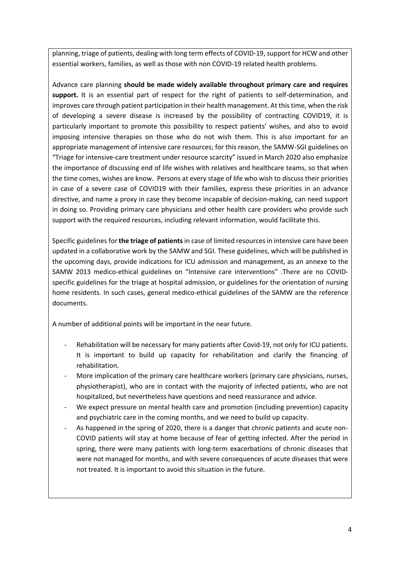planning, triage of patients, dealing with long term effects of COVID-19, support for HCW and other essential workers, families, as well as those with non COVID-19 related health problems.

Advance care planning **should be made widely available throughout primary care and requires**  support. It is an essential part of respect for the right of patients to self-determination, and improves care through patient participation in their health management. At this time, when the risk of developing a severe disease is increased by the possibility of contracting COVID19, it is particularly important to promote this possibility to respect patients' wishes, and also to avoid imposing intensive therapies on those who do not wish them. This is also important for an appropriate management of intensive care resources; for this reason, the SAMW-SGI guidelines on "Triage for intensive-care treatment under resource scarcity" issued in March 2020 also emphasize the importance of discussing end of life wishes with relatives and healthcare teams, so that when the time comes, wishes are know. Persons at every stage of life who wish to discuss their priorities in case of a severe case of COVID19 with their families, express these priorities in an advance directive, and name a proxy in case they become incapable of decision-making, can need support in doing so. Providing primary care physicians and other health care providers who provide such support with the required resources, including relevant information, would facilitate this.

Specific guidelines for **the triage of patients** in case of limited resources in intensive care have been updated in a collaborative work by the SAMW and SGI. These guidelines, which will be published in the upcoming days, provide indications for ICU admission and management, as an annexe to the SAMW 2013 medico-ethical guidelines on "Intensive care interventions" .There are no COVIDspecific guidelines for the triage at hospital admission, or guidelines for the orientation of nursing home residents. In such cases, general medico-ethical guidelines of the SAMW are the reference documents.

A number of additional points will be important in the near future.

- Rehabilitation will be necessary for many patients after Covid-19, not only for ICU patients. It is important to build up capacity for rehabilitation and clarify the financing of rehabilitation.
- More implication of the primary care healthcare workers (primary care physicians, nurses, physiotherapist), who are in contact with the majority of infected patients, who are not hospitalized, but nevertheless have questions and need reassurance and advice.
- We expect pressure on mental health care and promotion (including prevention) capacity and psychiatric care in the coming months, and we need to build up capacity.
- As happened in the spring of 2020, there is a danger that chronic patients and acute non-COVID patients will stay at home because of fear of getting infected. After the period in spring, there were many patients with long-term exacerbations of chronic diseases that were not managed for months, and with severe consequences of acute diseases that were not treated. It is important to avoid this situation in the future.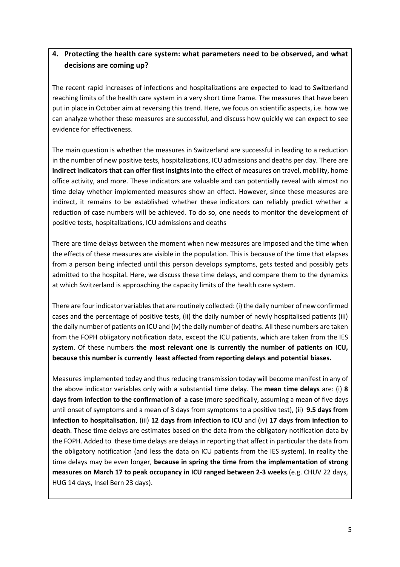## **4. Protecting the health care system: what parameters need to be observed, and what decisions are coming up?**

The recent rapid increases of infections and hospitalizations are expected to lead to Switzerland reaching limits of the health care system in a very short time frame. The measures that have been put in place in October aim at reversing this trend. Here, we focus on scientific aspects, i.e. how we can analyze whether these measures are successful, and discuss how quickly we can expect to see evidence for effectiveness.

The main question is whether the measures in Switzerland are successful in leading to a reduction in the number of new positive tests, hospitalizations, ICU admissions and deaths per day. There are **indirect indicators that can offer first insights**into the effect of measures on travel, mobility, home office activity, and more. These indicators are valuable and can potentially reveal with almost no time delay whether implemented measures show an effect. However, since these measures are indirect, it remains to be established whether these indicators can reliably predict whether a reduction of case numbers will be achieved. To do so, one needs to monitor the development of positive tests, hospitalizations, ICU admissions and deaths

There are time delays between the moment when new measures are imposed and the time when the effects of these measures are visible in the population. This is because of the time that elapses from a person being infected until this person develops symptoms, gets tested and possibly gets admitted to the hospital. Here, we discuss these time delays, and compare them to the dynamics at which Switzerland is approaching the capacity limits of the health care system.

There are four indicator variables that are routinely collected: (i) the daily number of new confirmed cases and the percentage of positive tests, (ii) the daily number of newly hospitalised patients (iii) the daily number of patients on ICU and (iv) the daily number of deaths. All these numbers are taken from the FOPH obligatory notification data, except the ICU patients, which are taken from the IES system. Of these numbers **the most relevant one is currently the number of patients on ICU, because this number is currently least affected from reporting delays and potential biases.**

Measures implemented today and thus reducing transmission today will become manifest in any of the above indicator variables only with a substantial time delay. The **mean time delays** are: (i) **8 days from infection to the confirmation of a case** (more specifically, assuming a mean of five days until onset of symptoms and a mean of 3 days from symptoms to a positive test), (ii) **9.5 days from infection to hospitalisation**, (iii) **12 days from infection to ICU** and (iv) **17 days from infection to death**. These time delays are estimates based on the data from the obligatory notification data by the FOPH. Added to these time delays are delays in reporting that affect in particular the data from the obligatory notification (and less the data on ICU patients from the IES system). In reality the time delays may be even longer, **because in spring the time from the implementation of strong measures on March 17 to peak occupancy in ICU ranged between 2-3 weeks** (e.g. CHUV 22 days, HUG 14 days, Insel Bern 23 days).